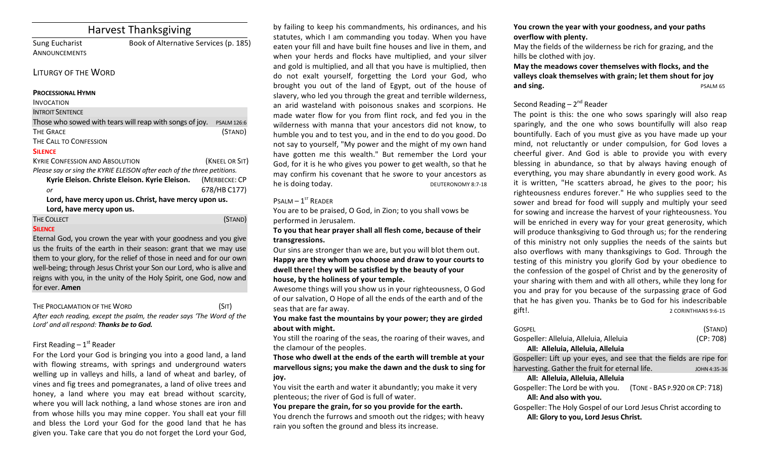| <b>Harvest Thanksgiving</b> |  |  |  |
|-----------------------------|--|--|--|
|-----------------------------|--|--|--|

Sung Eucharist Book of Alternative Services (p. 185) **ANNOUNCEMENTS** 

### LITURGY OF THE WORD

#### **PROCESSIONAL HYMN**

### INVOCATION **INTROIT SENTENCE** Those who sowed with tears will reap with songs of joy.  $PSLM 126:6$ THE GRACE (STAND) THE CALL TO CONFESSION **SILENCE** KYRIE CONFESSION AND ABSOLUTION *NATEL ANDER* (KNEEL OR SIT) *Please say or sing the KYRIE ELEISON after each of the three petitions.*

**Kyrie Eleison. Christe Eleison. Kyrie Eleison.** (MERBECKE: CP *or* 678/HB C177) Lord, have mercy upon us. Christ, have mercy upon us. Lord, have mercy upon us.

# THE COLLECT (STAND)

**SILENCE**

Eternal God, you crown the year with your goodness and you give us the fruits of the earth in their season: grant that we may use them to your glory, for the relief of those in need and for our own well-being; through Jesus Christ your Son our Lord, who is alive and reigns with you, in the unity of the Holy Spirit, one God, now and for ever. **Amen** 

### THE PROCLAMATION OF THE WORD (SIT)

After each reading, except the psalm, the reader says 'The Word of the Lord' and all respond: Thanks be to God.

### First Reading  $-1<sup>st</sup>$  Reader

For the Lord your God is bringing you into a good land, a land with flowing streams, with springs and underground waters welling up in valleys and hills, a land of wheat and barley, of vines and fig trees and pomegranates, a land of olive trees and honey, a land where you may eat bread without scarcity, where you will lack nothing, a land whose stones are iron and from whose hills you may mine copper. You shall eat your fill and bless the Lord your God for the good land that he has given you. Take care that you do not forget the Lord your God,

by failing to keep his commandments, his ordinances, and his statutes, which I am commanding you today. When you have eaten your fill and have built fine houses and live in them, and when your herds and flocks have multiplied, and your silver and gold is multiplied, and all that you have is multiplied, then do not exalt yourself, forgetting the Lord your God, who brought you out of the land of Egypt, out of the house of slavery, who led you through the great and terrible wilderness, an arid wasteland with poisonous snakes and scorpions. He made water flow for you from flint rock, and fed you in the wilderness with manna that your ancestors did not know, to humble you and to test you, and in the end to do you good. Do not say to yourself, "My power and the might of my own hand have gotten me this wealth." But remember the Lord your God, for it is he who gives you power to get wealth, so that he may confirm his covenant that he swore to your ancestors as he is doing today. DEUTERONOMY 8:7-18

#### $P$ SALM  $-1$ <sup>ST</sup> READER

You are to be praised, O God, in Zion; to you shall vows be performed in Jerusalem.

To you that hear prayer shall all flesh come, because of their **transgressions.** 

Our sins are stronger than we are, but you will blot them out. Happy are they whom you choose and draw to your courts to dwell there! they will be satisfied by the beauty of your house, by the holiness of your temple.

Awesome things will you show us in your righteousness, O God of our salvation, O Hope of all the ends of the earth and of the seas that are far away.

### **You make fast the mountains by your power: they are girded** about with might.

You still the roaring of the seas, the roaring of their waves, and the clamour of the peoples.

Those who dwell at the ends of the earth will tremble at your marvellous signs; you make the dawn and the dusk to sing for **joy.** 

You visit the earth and water it abundantly; you make it very plenteous: the river of God is full of water.

#### You prepare the grain, for so you provide for the earth.

You drench the furrows and smooth out the ridges; with heavy rain you soften the ground and bless its increase.

You crown the year with your goodness, and your paths overflow with plenty.

May the fields of the wilderness be rich for grazing, and the hills be clothed with joy.

May the meadows cover themselves with flocks, and the valleys cloak themselves with grain; let them shout for joy **and** sing. **b sing. and sing. and sing. and sing. and sing. and sing. and sing. and sing. a** 

## Second Reading  $-2^{nd}$  Reader

The point is this: the one who sows sparingly will also reap sparingly, and the one who sows bountifully will also reap bountifully. Each of you must give as you have made up your mind, not reluctantly or under compulsion, for God loves a cheerful giver. And God is able to provide you with every blessing in abundance, so that by always having enough of everything, you may share abundantly in every good work. As it is written, "He scatters abroad, he gives to the poor; his righteousness endures forever." He who supplies seed to the sower and bread for food will supply and multiply your seed for sowing and increase the harvest of your righteousness. You will be enriched in every way for your great generosity, which will produce thanksgiving to God through us; for the rendering of this ministry not only supplies the needs of the saints but also overflows with many thanksgivings to God. Through the testing of this ministry you glorify God by your obedience to the confession of the gospel of Christ and by the generosity of your sharing with them and with all others, while they long for you and pray for you because of the surpassing grace of God that he has given you. Thanks be to God for his indescribable  $\text{gift}$ !

| GOSPEL                                                             | (STAND)                       |
|--------------------------------------------------------------------|-------------------------------|
| Gospeller: Alleluia, Alleluia, Alleluia                            | (CP: 708)                     |
| All: Alleluia, Alleluia, Alleluia                                  |                               |
| Gospeller: Lift up your eyes, and see that the fields are ripe for |                               |
| harvesting. Gather the fruit for eternal life.                     | JOHN 4:35-36                  |
| All: Alleluia, Alleluia, Alleluia                                  |                               |
| Gospeller: The Lord be with you.                                   | (TONE - BAS P.920 OR CP: 718) |
| All: And also with you.                                            |                               |
| Gospeller: The Holy Gospel of our Lord Jesus Christ according to   |                               |
| All: Glory to you, Lord Jesus Christ.                              |                               |